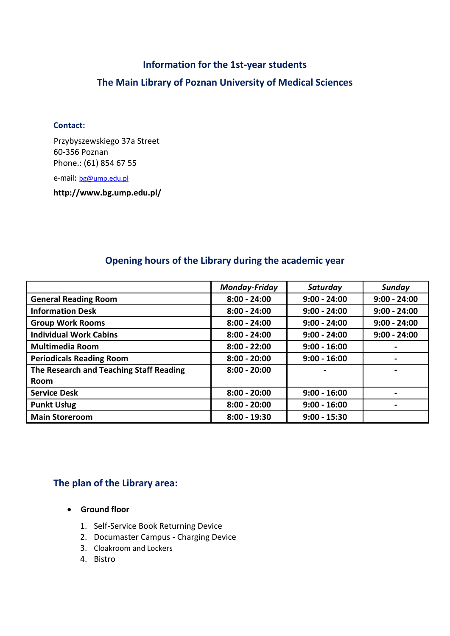# **Information for the 1st-year students The Main Library of Poznan University of Medical Sciences**

#### **Contact:**

Przybyszewskiego 37a Street 60-356 Poznan Phone.: (61) 854 67 55

e-mail: [bg@ump.edu.pl](mailto:bg@ump.edu.pl)

**<http://www.bg.ump.edu.pl/>**

|                                         | <b>Monday-Friday</b> | Saturday       | Sunday         |
|-----------------------------------------|----------------------|----------------|----------------|
| <b>General Reading Room</b>             | $8:00 - 24:00$       | $9:00 - 24:00$ | $9:00 - 24:00$ |
| <b>Information Desk</b>                 | $8:00 - 24:00$       | $9:00 - 24:00$ | $9:00 - 24:00$ |
| <b>Group Work Rooms</b>                 | $8:00 - 24:00$       | $9:00 - 24:00$ | $9:00 - 24:00$ |
| <b>Individual Work Cabins</b>           | $8:00 - 24:00$       | $9:00 - 24:00$ | $9:00 - 24:00$ |
| <b>Multimedia Room</b>                  | $8:00 - 22:00$       | $9:00 - 16:00$ |                |
| <b>Periodicals Reading Room</b>         | $8:00 - 20:00$       | $9:00 - 16:00$ |                |
| The Research and Teaching Staff Reading | $8:00 - 20:00$       |                |                |
| Room                                    |                      |                |                |
| <b>Service Desk</b>                     | $8:00 - 20:00$       | $9:00 - 16:00$ |                |
| <b>Punkt Usług</b>                      | $8:00 - 20:00$       | $9:00 - 16:00$ |                |
| <b>Main Storeroom</b>                   | $8:00 - 19:30$       | $9:00 - 15:30$ |                |

# **Opening hours of the Library during the academic year**

# **The plan of the Library area:**

- **Ground floor**
	- 1. Self-Service Book Returning Device
	- 2. Documaster Campus Charging Device
	- 3. Cloakroom and Lockers
	- 4. Bistro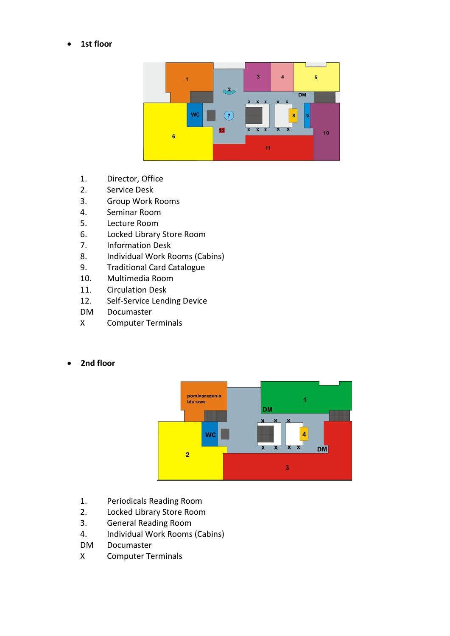**1st floor**



- 1. Director, Office
- 2. Service Desk
- 3. Group Work Rooms
- 4. Seminar Room
- 5. Lecture Room
- 6. Locked Library Store Room<br>7. Information Desk
- 7. Information Desk
- 8. Individual Work Rooms (Cabins)
- 9. Traditional Card Catalogue
- 10. Multimedia Room
- 11. Circulation Desk
- 12. Self-Service Lending Device
- DM Documaster
- X Computer Terminals

#### **2nd floor**



- 1. Periodicals Reading Room
- 2. Locked Library Store Room
- 3. General Reading Room
- 4. Individual Work Rooms (Cabins)
- DM Documaster
- X Computer Terminals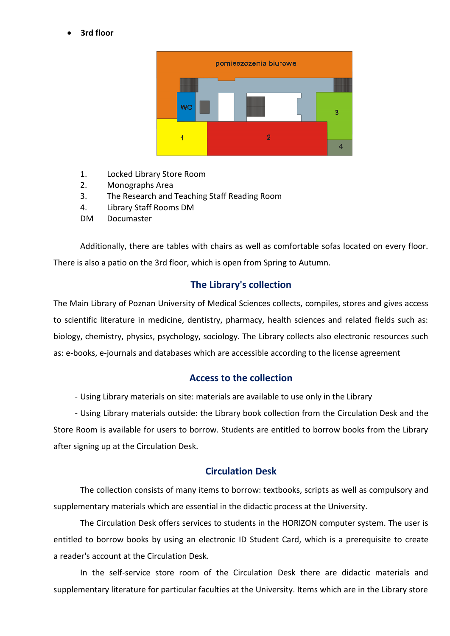**3rd floor**



- 1. Locked Library Store Room
- 2. Monographs Area
- 3. The Research and Teaching Staff Reading Room
- 4. Library Staff Rooms DM
- DM Documaster

Additionally, there are tables with chairs as well as comfortable sofas located on every floor. There is also a patio on the 3rd floor, which is open from Spring to Autumn.

# **The Library's collection**

The Main Library of Poznan University of Medical Sciences collects, compiles, stores and gives access to scientific literature in medicine, dentistry, pharmacy, health sciences and related fields such as: biology, chemistry, physics, psychology, sociology. The Library collects also electronic resources such as: e-books, e-journals and databases which are accessible according to the license agreement

# **Access to the collection**

- Using Library materials on site: materials are available to use only in the Library

- Using Library materials outside: the Library book collection from the Circulation Desk and the Store Room is available for users to borrow. Students are entitled to borrow books from the Library after signing up at the Circulation Desk.

# **Circulation Desk**

The collection consists of many items to borrow: textbooks, scripts as well as compulsory and supplementary materials which are essential in the didactic process at the University.

The Circulation Desk offers services to students in the HORIZON computer system. The user is entitled to borrow books by using an electronic ID Student Card, which is a prerequisite to create a reader's account at the Circulation Desk.

In the self-service store room of the Circulation Desk there are didactic materials and supplementary literature for particular faculties at the University. Items which are in the Library store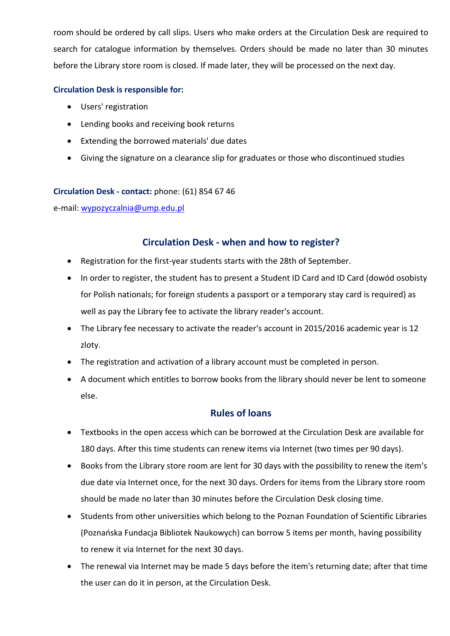room should be ordered by call slips. Users who make orders at the Circulation Desk are required to search for catalogue information by themselves. Orders should be made no later than 30 minutes before the Library store room is closed. If made later, they will be processed on the next day.

## **Circulation Desk is responsible for:**

- Users' registration
- Lending books and receiving book returns
- Extending the borrowed materials' due dates
- Giving the signature on a clearance slip for graduates or those who discontinued studies

## **Circulation Desk - contact:** phone: (61) 854 67 46

e-mail: [wypozyczalnia@ump.edu.pl](mailto:wypozyczalnia@ump.edu.pl)

# **Circulation Desk - when and how to register?**

- Registration for the first-year students starts with the 28th of September.
- In order to register, the student has to present a Student ID Card and ID Card (dowód osobisty for Polish nationals; for foreign students a passport or a temporary stay card is required) as well as pay the Library fee to activate the library reader's account.
- The Library fee necessary to activate the reader's account in 2015/2016 academic year is 12 zloty.
- The registration and activation of a library account must be completed in person.
- A document which entitles to borrow books from the library should never be lent to someone else.

# **Rules of loans**

- Textbooks in the open access which can be borrowed at the Circulation Desk are available for 180 days. After this time students can renew items via Internet (two times per 90 days).
- Books from the Library store room are lent for 30 days with the possibility to renew the item's due date via Internet once, for the next 30 days. Orders for items from the Library store room should be made no later than 30 minutes before the Circulation Desk closing time.
- Students from other universities which belong to the Poznan Foundation of Scientific Libraries (Poznańska Fundacja Bibliotek Naukowych) can borrow 5 items per month, having possibility to renew it via Internet for the next 30 days.
- The renewal via Internet may be made 5 days before the item's returning date; after that time the user can do it in person, at the Circulation Desk.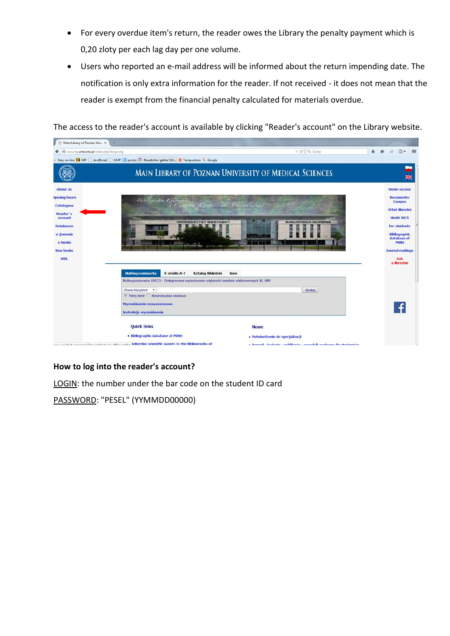- For every overdue item's return, the reader owes the Library the penalty payment which is 0,20 zloty per each lag day per one volume.
- Users who reported an e-mail address will be informed about the return impending date. The notification is only extra information for the reader. If not received - it does not mean that the reader is exempt from the financial penalty calculated for materials overdue.

The access to the reader's account is available by clicking "Reader's account" on the Library website.



## **How to log into the reader's account?**

LOGIN: the number under the bar code on the student ID card

PASSWORD: "PESEL" (YYMMDD00000)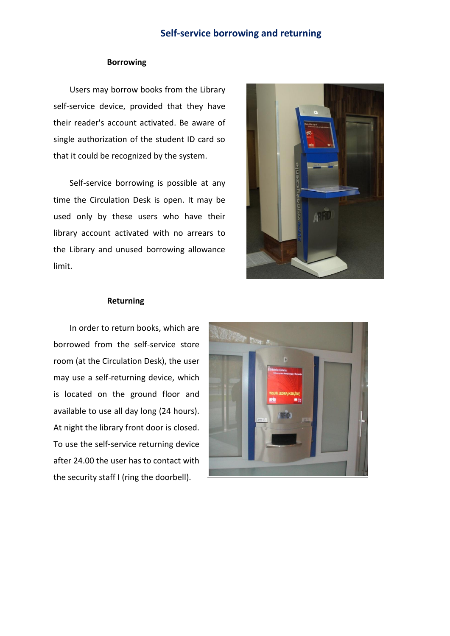## **Self-service borrowing and returning**

#### **Borrowing**

Users may borrow books from the Library self-service device, provided that they have their reader's account activated. Be aware of single authorization of the student ID card so that it could be recognized by the system.

Self-service borrowing is possible at any time the Circulation Desk is open. It may be used only by these users who have their library account activated with no arrears to the Library and unused borrowing allowance limit.



#### **Returning**

In order to return books, which are borrowed from the self-service store room (at the Circulation Desk), the user may use a self-returning device, which is located on the ground floor and available to use all day long (24 hours). At night the library front door is closed. To use the self-service returning device after 24.00 the user has to contact with the security staff I (ring the doorbell).

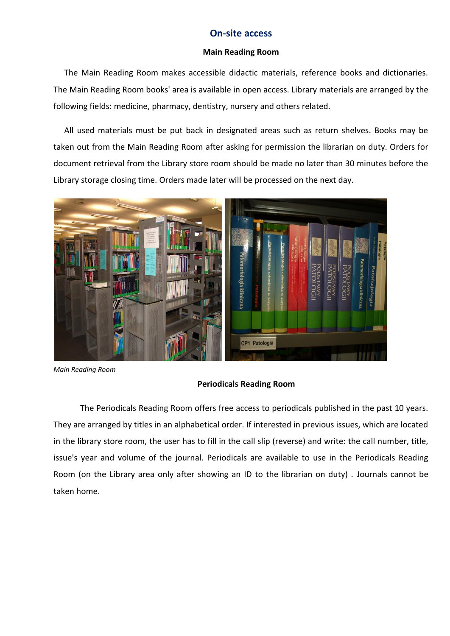## **On-site access**

#### **Main Reading Room**

The Main Reading Room makes accessible didactic materials, reference books and dictionaries. The Main Reading Room books' area is available in open access. Library materials are arranged by the following fields: medicine, pharmacy, dentistry, nursery and others related.

All used materials must be put back in designated areas such as return shelves. Books may be taken out from the Main Reading Room after asking for permission the librarian on duty. Orders for document retrieval from the Library store room should be made no later than 30 minutes before the Library storage closing time. Orders made later will be processed on the next day.



*Main Reading Room*

## **Periodicals Reading Room**

The Periodicals Reading Room offers free access to periodicals published in the past 10 years. They are arranged by titles in an alphabetical order. If interested in previous issues, which are located in the library store room, the user has to fill in the call slip (reverse) and write: the call number, title, issue's year and volume of the journal. Periodicals are available to use in the Periodicals Reading Room (on the Library area only after showing an ID to the librarian on duty) . Journals cannot be taken home.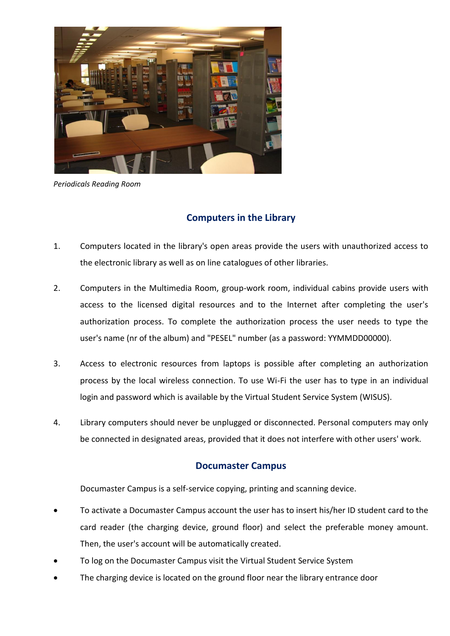

*Periodicals Reading Room*

# **Computers in the Library**

- 1. Computers located in the library's open areas provide the users with unauthorized access to the electronic library as well as on line catalogues of other libraries.
- 2. Computers in the Multimedia Room, group-work room, individual cabins provide users with access to the licensed digital resources and to the Internet after completing the user's authorization process. To complete the authorization process the user needs to type the user's name (nr of the album) and "PESEL" number (as a password: YYMMDD00000).
- 3. Access to electronic resources from laptops is possible after completing an authorization process by the local wireless connection. To use Wi-Fi the user has to type in an individual login and password which is available by the Virtual Student Service System (WISUS).
- 4. Library computers should never be unplugged or disconnected. Personal computers may only be connected in designated areas, provided that it does not interfere with other users' work.

# **Documaster Campus**

Documaster Campus is a self-service copying, printing and scanning device.

- To activate a Documaster Campus account the user has to insert his/her ID student card to the card reader (the charging device, ground floor) and select the preferable money amount. Then, the user's account will be automatically created.
- To log on the Documaster Campus visit the Virtual Student Service System
- The charging device is located on the ground floor near the library entrance door